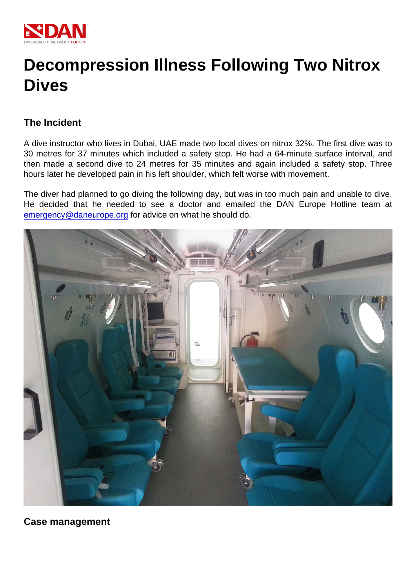## Decompression Illness Following Two Nitrox Dives

## The Incident

A dive instructor who lives in Dubai, UAE made two local dives on nitrox 32%. The first dive was to 30 metres for 37 minutes which included a safety stop. He had a 64-minute surface interval, and then made a second dive to 24 metres for 35 minutes and again included a safety stop. Three hours later he developed pain in his left shoulder, which felt worse with movement.

The diver had planned to go diving the following day, but was in too much pain and unable to dive. He decided that he needed to see a doctor and emailed the DAN Europe Hotline team at [emergency@daneurope.org](mailto:emergency@daneurope.org) for advice on what he should do.

Case management